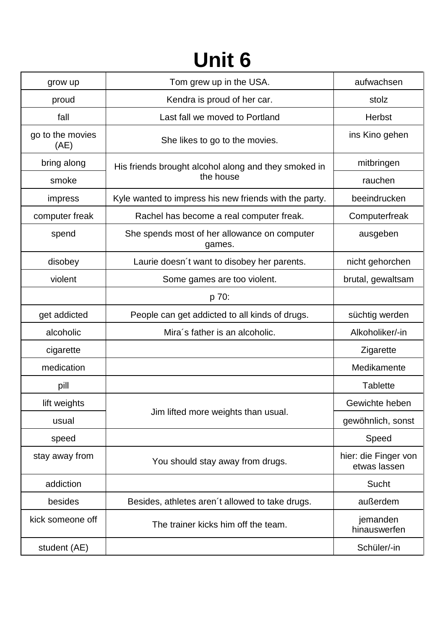## **Unit 6**

| grow up                  | Tom grew up in the USA.                                           | aufwachsen                           |
|--------------------------|-------------------------------------------------------------------|--------------------------------------|
| proud                    | Kendra is proud of her car.                                       | stolz                                |
| fall                     | Last fall we moved to Portland                                    | Herbst                               |
| go to the movies<br>(AE) | She likes to go to the movies.                                    | ins Kino gehen                       |
| bring along              | His friends brought alcohol along and they smoked in<br>the house | mitbringen                           |
| smoke                    |                                                                   | rauchen                              |
| impress                  | Kyle wanted to impress his new friends with the party.            | beeindrucken                         |
| computer freak           | Rachel has become a real computer freak.                          | Computerfreak                        |
| spend                    | She spends most of her allowance on computer<br>games.            | ausgeben                             |
| disobey                  | Laurie doesn't want to disobey her parents.                       | nicht gehorchen                      |
| violent                  | Some games are too violent.                                       | brutal, gewaltsam                    |
|                          | p 70:                                                             |                                      |
| get addicted             | People can get addicted to all kinds of drugs.                    | süchtig werden                       |
| alcoholic                | Mira's father is an alcoholic.                                    | Alkoholiker/-in                      |
| cigarette                |                                                                   | Zigarette                            |
| medication               |                                                                   | Medikamente                          |
| pill                     |                                                                   | <b>Tablette</b>                      |
| lift weights             |                                                                   | Gewichte heben                       |
| usual                    | Jim lifted more weights than usual.                               | gewöhnlich, sonst                    |
| speed                    |                                                                   | Speed                                |
| stay away from           | You should stay away from drugs.                                  | hier: die Finger von<br>etwas lassen |
| addiction                |                                                                   | <b>Sucht</b>                         |
| besides                  | Besides, athletes aren't allowed to take drugs.                   | außerdem                             |
| kick someone off         | The trainer kicks him off the team.                               | jemanden<br>hinauswerfen             |
| student (AE)             |                                                                   | Schüler/-in                          |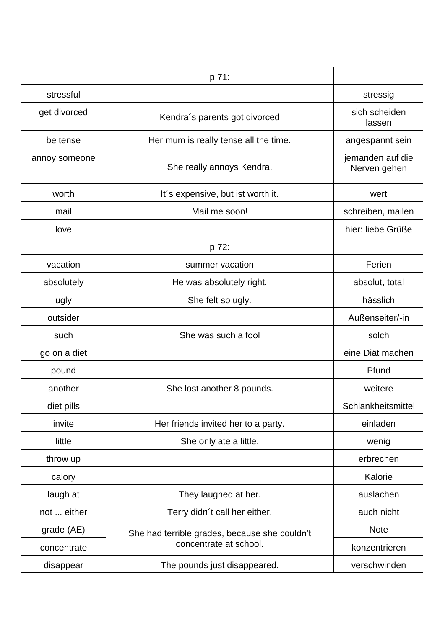|               | p 71:                                                                   |                                  |
|---------------|-------------------------------------------------------------------------|----------------------------------|
| stressful     |                                                                         | stressig                         |
| get divorced  | Kendra's parents got divorced                                           | sich scheiden<br>lassen          |
| be tense      | Her mum is really tense all the time.                                   | angespannt sein                  |
| annoy someone | She really annoys Kendra.                                               | jemanden auf die<br>Nerven gehen |
| worth         | It's expensive, but ist worth it.                                       | wert                             |
| mail          | Mail me soon!                                                           | schreiben, mailen                |
| love          |                                                                         | hier: liebe Grüße                |
|               | p 72:                                                                   |                                  |
| vacation      | summer vacation                                                         | Ferien                           |
| absolutely    | He was absolutely right.                                                | absolut, total                   |
| ugly          | She felt so ugly.                                                       | hässlich                         |
| outsider      |                                                                         | Außenseiter/-in                  |
| such          | She was such a fool                                                     | solch                            |
| go on a diet  |                                                                         | eine Diät machen                 |
| pound         |                                                                         | Pfund                            |
| another       | She lost another 8 pounds.                                              | weitere                          |
| diet pills    |                                                                         | Schlankheitsmittel               |
| invite        | Her friends invited her to a party.                                     | einladen                         |
| little        | She only ate a little.                                                  | wenig                            |
| throw up      |                                                                         | erbrechen                        |
| calory        |                                                                         | Kalorie                          |
| laugh at      | They laughed at her.                                                    | auslachen                        |
| not  either   | Terry didn't call her either.                                           | auch nicht                       |
| grade (AE)    | She had terrible grades, because she couldn't<br>concentrate at school. | <b>Note</b>                      |
| concentrate   |                                                                         | konzentrieren                    |
| disappear     | The pounds just disappeared.                                            | verschwinden                     |